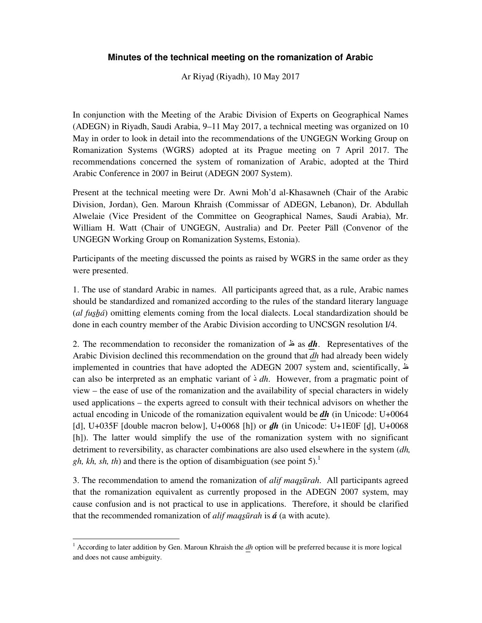## **Minutes of the technical meeting on the romanization of Arabic**

Ar Riyaḏ (Riyadh), 10 May 2017

In conjunction with the Meeting of the Arabic Division of Experts on Geographical Names (ADEGN) in Riyadh, Saudi Arabia, 9–11 May 2017, a technical meeting was organized on 10 May in order to look in detail into the recommendations of the UNGEGN Working Group on Romanization Systems (WGRS) adopted at its Prague meeting on 7 April 2017. The recommendations concerned the system of romanization of Arabic, adopted at the Third Arabic Conference in 2007 in Beirut (ADEGN 2007 System).

Present at the technical meeting were Dr. Awni Moh'd al-Khasawneh (Chair of the Arabic Division, Jordan), Gen. Maroun Khraish (Commissar of ADEGN, Lebanon), Dr. Abdullah Alwelaie (Vice President of the Committee on Geographical Names, Saudi Arabia), Mr. William H. Watt (Chair of UNGEGN, Australia) and Dr. Peeter Päll (Convenor of the UNGEGN Working Group on Romanization Systems, Estonia).

Participants of the meeting discussed the points as raised by WGRS in the same order as they were presented.

1. The use of standard Arabic in names. All participants agreed that, as a rule, Arabic names should be standardized and romanized according to the rules of the standard literary language (*al fus̱ẖá*) omitting elements coming from the local dialects. Local standardization should be done in each country member of the Arabic Division according to UNCSGN resolution I/4.

2. The recommendation to reconsider the romanization of ظ as *d͟h*. Representatives of the Arabic Division declined this recommendation on the ground that *dh* had already been widely implemented in countries that have adopted the ADEGN 2007 system and, scientifically, ظ can also be interpreted as an emphatic variant of  $\frac{1}{2}$  dh. However, from a pragmatic point of view – the ease of use of the romanization and the availability of special characters in widely used applications – the experts agreed to consult with their technical advisors on whether the actual encoding in Unicode of the romanization equivalent would be *dh* (in Unicode: U+0064 [d], U+035F [double macron below], U+0068 [h]) or *ḏh* (in Unicode: U+1E0F [ḏ], U+0068 [h]). The latter would simplify the use of the romanization system with no significant detriment to reversibility, as character combinations are also used elsewhere in the system (*dh, gh, kh, sh, th*) and there is the option of disambiguation (see point 5).<sup>1</sup>

3. The recommendation to amend the romanization of *alif maqs̱ūrah*. All participants agreed that the romanization equivalent as currently proposed in the ADEGN 2007 system, may cause confusion and is not practical to use in applications. Therefore, it should be clarified that the recommended romanization of *alif maqs̱ūrah* is *á* (a with acute).

<sup>-</sup><sup>1</sup> According to later addition by Gen. Maroun Khraish the *dh* option will be preferred because it is more logical and does not cause ambiguity.